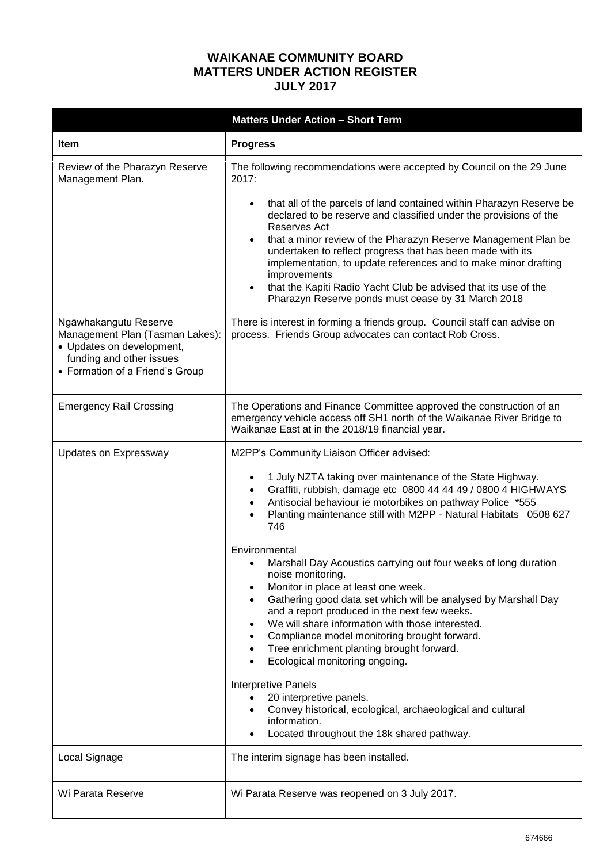## **WAIKANAE COMMUNITY BOARD MATTERS UNDER ACTION REGISTER JULY 2017**

|                                                                                                                                                      | <b>Matters Under Action - Short Term</b>                                                                                                                                                                                                                                                                                                                                                                                                          |
|------------------------------------------------------------------------------------------------------------------------------------------------------|---------------------------------------------------------------------------------------------------------------------------------------------------------------------------------------------------------------------------------------------------------------------------------------------------------------------------------------------------------------------------------------------------------------------------------------------------|
| <b>Item</b>                                                                                                                                          | <b>Progress</b>                                                                                                                                                                                                                                                                                                                                                                                                                                   |
| Review of the Pharazyn Reserve<br>Management Plan.                                                                                                   | The following recommendations were accepted by Council on the 29 June<br>2017:<br>that all of the parcels of land contained within Pharazyn Reserve be<br>declared to be reserve and classified under the provisions of the                                                                                                                                                                                                                       |
|                                                                                                                                                      | Reserves Act<br>that a minor review of the Pharazyn Reserve Management Plan be<br>$\bullet$<br>undertaken to reflect progress that has been made with its<br>implementation, to update references and to make minor drafting<br>improvements<br>that the Kapiti Radio Yacht Club be advised that its use of the<br>$\bullet$<br>Pharazyn Reserve ponds must cease by 31 March 2018                                                                |
| Ngāwhakangutu Reserve<br>Management Plan (Tasman Lakes):<br>• Updates on development,<br>funding and other issues<br>• Formation of a Friend's Group | There is interest in forming a friends group. Council staff can advise on<br>process. Friends Group advocates can contact Rob Cross.                                                                                                                                                                                                                                                                                                              |
| <b>Emergency Rail Crossing</b>                                                                                                                       | The Operations and Finance Committee approved the construction of an<br>emergency vehicle access off SH1 north of the Waikanae River Bridge to<br>Waikanae East at in the 2018/19 financial year.                                                                                                                                                                                                                                                 |
| Updates on Expressway                                                                                                                                | M2PP's Community Liaison Officer advised:                                                                                                                                                                                                                                                                                                                                                                                                         |
|                                                                                                                                                      | 1 July NZTA taking over maintenance of the State Highway.<br>$\bullet$<br>Graffiti, rubbish, damage etc 0800 44 44 49 / 0800 4 HIGHWAYS<br>$\bullet$<br>Antisocial behaviour ie motorbikes on pathway Police *555<br>$\bullet$<br>Planting maintenance still with M2PP - Natural Habitats 0508 627<br>746                                                                                                                                         |
|                                                                                                                                                      | Environmental<br>Marshall Day Acoustics carrying out four weeks of long duration<br>noise monitoring.<br>Monitor in place at least one week.<br>Gathering good data set which will be analysed by Marshall Day<br>and a report produced in the next few weeks.<br>We will share information with those interested.<br>Compliance model monitoring brought forward.<br>Tree enrichment planting brought forward.<br>Ecological monitoring ongoing. |
|                                                                                                                                                      | <b>Interpretive Panels</b><br>20 interpretive panels.<br>Convey historical, ecological, archaeological and cultural<br>information.<br>Located throughout the 18k shared pathway.                                                                                                                                                                                                                                                                 |
| Local Signage                                                                                                                                        | The interim signage has been installed.                                                                                                                                                                                                                                                                                                                                                                                                           |
| Wi Parata Reserve                                                                                                                                    | Wi Parata Reserve was reopened on 3 July 2017.                                                                                                                                                                                                                                                                                                                                                                                                    |